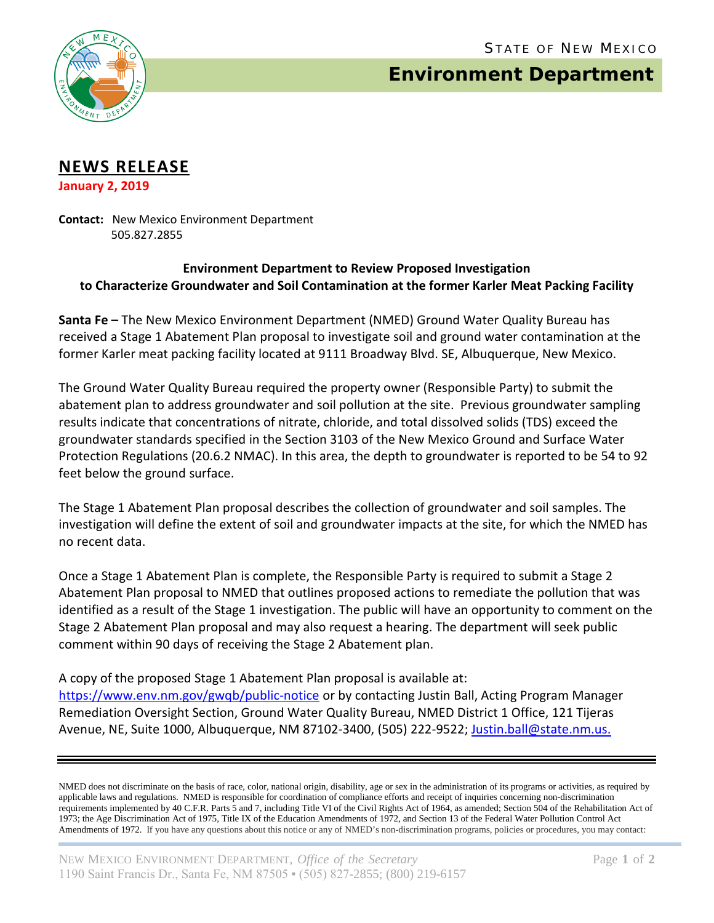

## **Environment Department**

## **NEWS RELEASE**

**January 2, 2019**

**Contact:** New Mexico Environment Department 505.827.2855

## **Environment Department to Review Proposed Investigation to Characterize Groundwater and Soil Contamination at the former Karler Meat Packing Facility**

**Santa Fe –** The New Mexico Environment Department (NMED) Ground Water Quality Bureau has received a Stage 1 Abatement Plan proposal to investigate soil and ground water contamination at the former Karler meat packing facility located at 9111 Broadway Blvd. SE, Albuquerque, New Mexico.

The Ground Water Quality Bureau required the property owner (Responsible Party) to submit the abatement plan to address groundwater and soil pollution at the site. Previous groundwater sampling results indicate that concentrations of nitrate, chloride, and total dissolved solids (TDS) exceed the groundwater standards specified in the Section 3103 of the New Mexico Ground and Surface Water Protection Regulations (20.6.2 NMAC). In this area, the depth to groundwater is reported to be 54 to 92 feet below the ground surface.

The Stage 1 Abatement Plan proposal describes the collection of groundwater and soil samples. The investigation will define the extent of soil and groundwater impacts at the site, for which the NMED has no recent data.

Once a Stage 1 Abatement Plan is complete, the Responsible Party is required to submit a Stage 2 Abatement Plan proposal to NMED that outlines proposed actions to remediate the pollution that was identified as a result of the Stage 1 investigation. The public will have an opportunity to comment on the Stage 2 Abatement Plan proposal and may also request a hearing. The department will seek public comment within 90 days of receiving the Stage 2 Abatement plan.

A copy of the proposed Stage 1 Abatement Plan proposal is available at: <https://www.env.nm.gov/gwqb/public-notice> or by contacting Justin Ball, Acting Program Manager Remediation Oversight Section, Ground Water Quality Bureau, NMED District 1 Office, 121 Tijeras Avenue, NE, Suite 1000, Albuquerque, NM 87102-3400, (505) 222-9522; [Justin.ball@state.nm.us.](mailto:Justin.ball@state.nm.us)

NMED does not discriminate on the basis of race, color, national origin, disability, age or sex in the administration of its programs or activities, as required by applicable laws and regulations. NMED is responsible for coordination of compliance efforts and receipt of inquiries concerning non-discrimination requirements implemented by 40 C.F.R. Parts 5 and 7, including Title VI of the Civil Rights Act of 1964, as amended; Section 504 of the Rehabilitation Act of 1973; the Age Discrimination Act of 1975, Title IX of the Education Amendments of 1972, and Section 13 of the Federal Water Pollution Control Act Amendments of 1972. If you have any questions about this notice or any of NMED's non-discrimination programs, policies or procedures, you may contact: